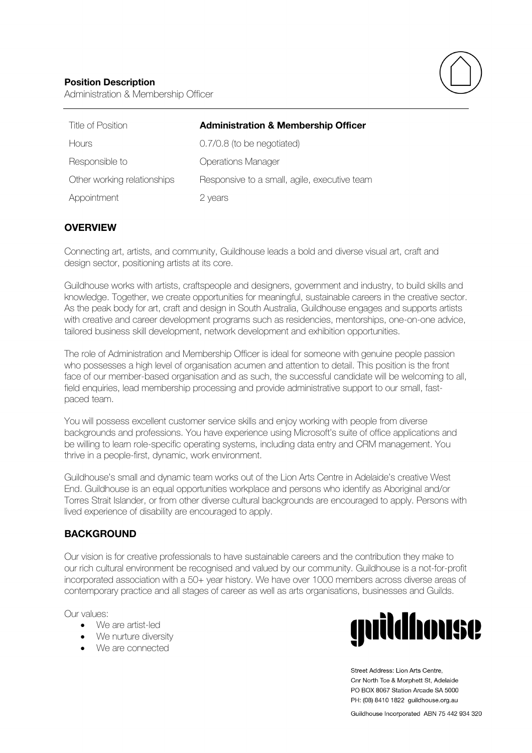

| Title of Position           | <b>Administration &amp; Membership Officer</b> |
|-----------------------------|------------------------------------------------|
| <b>H</b> ours               | 0.7/0.8 (to be negotiated)                     |
| Responsible to              | <b>Operations Manager</b>                      |
| Other working relationships | Responsive to a small, agile, executive team   |
| Appointment                 | 2 years                                        |

# **OVERVIEW**

Connecting art, artists, and community, Guildhouse leads a bold and diverse visual art, craft and design sector, positioning artists at its core.

Guildhouse works with artists, craftspeople and designers, government and industry, to build skills and knowledge. Together, we create opportunities for meaningful, sustainable careers in the creative sector. As the peak body for art, craft and design in South Australia, Guildhouse engages and supports artists with creative and career development programs such as residencies, mentorships, one-on-one advice, tailored business skill development, network development and exhibition opportunities.

The role of Administration and Membership Officer is ideal for someone with genuine people passion who possesses a high level of organisation acumen and attention to detail. This position is the front face of our member-based organisation and as such, the successful candidate will be welcoming to all, field enquiries, lead membership processing and provide administrative support to our small, fastpaced team.

You will possess excellent customer service skills and enjoy working with people from diverse backgrounds and professions. You have experience using Microsoft's suite of office applications and be willing to learn role-specific operating systems, including data entry and CRM management. You thrive in a people-first, dynamic, work environment.

Guildhouse's small and dynamic team works out of the Lion Arts Centre in Adelaide's creative West End. Guildhouse is an equal opportunities workplace and persons who identify as Aboriginal and/or Torres Strait Islander, or from other diverse cultural backgrounds are encouraged to apply. Persons with lived experience of disability are encouraged to apply.

# **BACKGROUND**

Our vision is for creative professionals to have sustainable careers and the contribution they make to our rich cultural environment be recognised and valued by our community. Guildhouse is a not-for-profit incorporated association with a 50+ year history. We have over 1000 members across diverse areas of contemporary practice and all stages of career as well as arts organisations, businesses and Guilds.

Our values:

- We are artist-led
- We nurture diversity
- We are connected



Street Address: Lion Arts Centre. Cnr North Tce & Morphett St. Adelaide PO BOX 8067 Station Arcade SA 5000 PH: (08) 8410 1822 guildhouse.org.au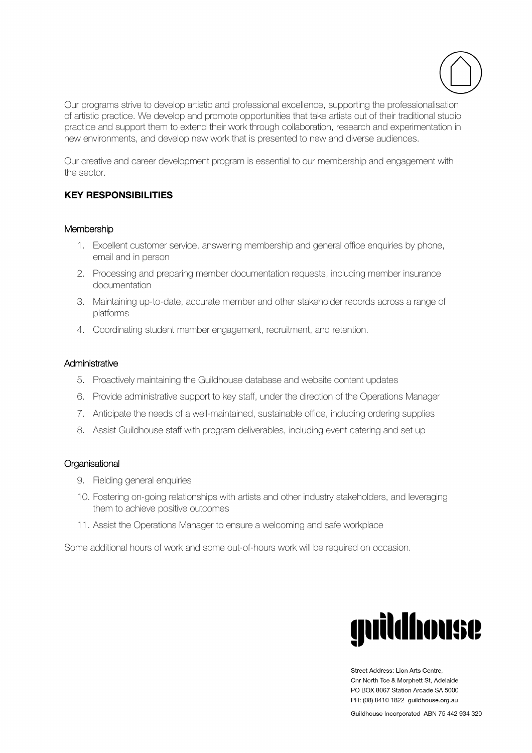

Our programs strive to develop artistic and professional excellence, supporting the professionalisation of artistic practice. We develop and promote opportunities that take artists out of their traditional studio practice and support them to extend their work through collaboration, research and experimentation in new environments, and develop new work that is presented to new and diverse audiences.

Our creative and career development program is essential to our membership and engagement with the sector.

# **KEY RESPONSIBILITIES**

#### Membership

- 1. Excellent customer service, answering membership and general office enquiries by phone, email and in person
- 2. Processing and preparing member documentation requests, including member insurance documentation
- 3. Maintaining up-to-date, accurate member and other stakeholder records across a range of platforms
- 4. Coordinating student member engagement, recruitment, and retention.

#### **Administrative**

- 5. Proactively maintaining the Guildhouse database and website content updates
- 6. Provide administrative support to key staff, under the direction of the Operations Manager
- 7. Anticipate the needs of a well-maintained, sustainable office, including ordering supplies
- 8. Assist Guildhouse staff with program deliverables, including event catering and set up

#### **Organisational**

- 9. Fielding general enquiries
- 10. Fostering on-going relationships with artists and other industry stakeholders, and leveraging them to achieve positive outcomes
- 11. Assist the Operations Manager to ensure a welcoming and safe workplace

Some additional hours of work and some out-of-hours work will be required on occasion.



Street Address: Lion Arts Centre. Cnr North Tce & Morphett St. Adelaide PO BOX 8067 Station Arcade SA 5000 PH: (08) 8410 1822 guildhouse.org.au

Guildhouse Incorporated ABN 75 442 934 320